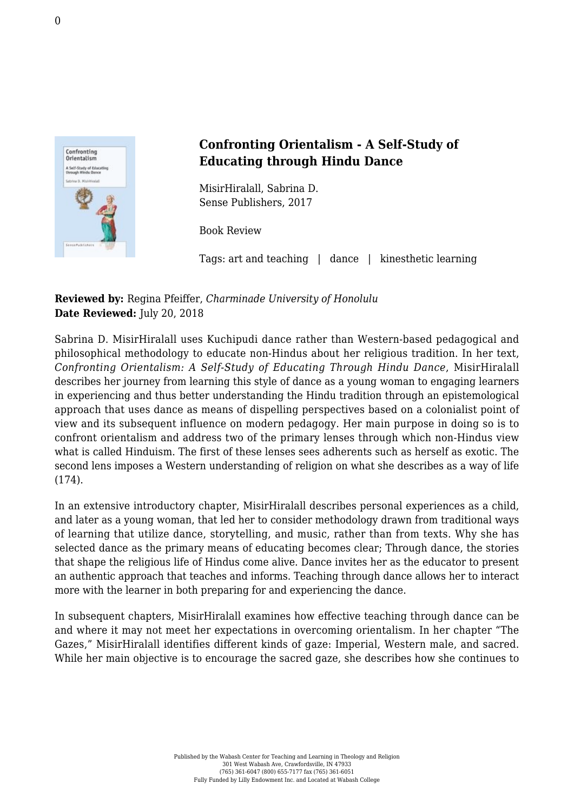

## **Confronting Orientalism - A Self-Study of Educating through Hindu Dance**

MisirHiralall, Sabrina D. [Sense Publishers, 2017](https://www.sensepublishers.com/catalogs/bookseries/other-books/confronting-orientalism/#!prettyPhoto)

Book Review

Tags: art and teaching | dance | kinesthetic learning

**Reviewed by:** Regina Pfeiffer, *Charminade University of Honolulu* **Date Reviewed:** July 20, 2018

Sabrina D. MisirHiralall uses Kuchipudi dance rather than Western-based pedagogical and philosophical methodology to educate non-Hindus about her religious tradition. In her text, *Confronting Orientalism: A Self-Study of Educating Through Hindu Dance*, MisirHiralall describes her journey from learning this style of dance as a young woman to engaging learners in experiencing and thus better understanding the Hindu tradition through an epistemological approach that uses dance as means of dispelling perspectives based on a colonialist point of view and its subsequent influence on modern pedagogy. Her main purpose in doing so is to confront orientalism and address two of the primary lenses through which non-Hindus view what is called Hinduism. The first of these lenses sees adherents such as herself as exotic. The second lens imposes a Western understanding of religion on what she describes as a way of life (174).

In an extensive introductory chapter, MisirHiralall describes personal experiences as a child, and later as a young woman, that led her to consider methodology drawn from traditional ways of learning that utilize dance, storytelling, and music, rather than from texts. Why she has selected dance as the primary means of educating becomes clear; Through dance, the stories that shape the religious life of Hindus come alive. Dance invites her as the educator to present an authentic approach that teaches and informs. Teaching through dance allows her to interact more with the learner in both preparing for and experiencing the dance.

In subsequent chapters, MisirHiralall examines how effective teaching through dance can be and where it may not meet her expectations in overcoming orientalism. In her chapter "The Gazes," MisirHiralall identifies different kinds of gaze: Imperial, Western male, and sacred. While her main objective is to encourage the sacred gaze, she describes how she continues to